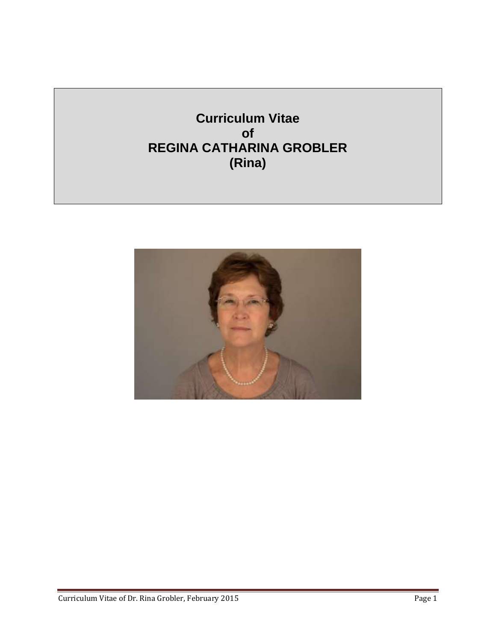**Curriculum Vitae of REGINA CATHARINA GROBLER (Rina)**

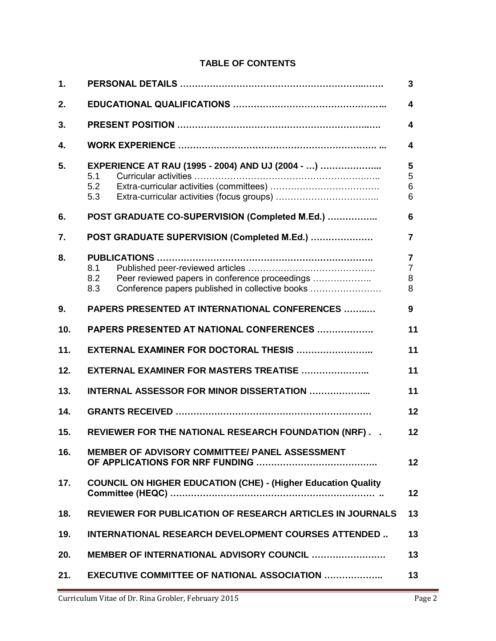### **TABLE OF CONTENTS**

| 1.  | 3                                                                                                                      |                                            |  |
|-----|------------------------------------------------------------------------------------------------------------------------|--------------------------------------------|--|
| 2.  | $\overline{\mathbf{4}}$                                                                                                |                                            |  |
| 3.  |                                                                                                                        | 4                                          |  |
| 4.  |                                                                                                                        | $\overline{\mathbf{4}}$                    |  |
| 5.  | EXPERIENCE AT RAU (1995 - 2004) AND UJ (2004 - )<br>5.1<br>5.2<br>5.3                                                  | 5<br>5<br>6<br>6                           |  |
| 6.  | POST GRADUATE CO-SUPERVISION (Completed M.Ed.)                                                                         | 6                                          |  |
| 7.  | POST GRADUATE SUPERVISION (Completed M.Ed.)                                                                            | 7                                          |  |
| 8.  | 8.1<br>Peer reviewed papers in conference proceedings<br>8.2<br>8.3<br>Conference papers published in collective books | $\overline{7}$<br>$\overline{7}$<br>8<br>8 |  |
| 9.  | PAPERS PRESENTED AT INTERNATIONAL CONFERENCES                                                                          | 9                                          |  |
| 10. | <b>PAPERS PRESENTED AT NATIONAL CONFERENCES </b>                                                                       | 11                                         |  |
| 11. | EXTERNAL EXAMINER FOR DOCTORAL THESIS                                                                                  | 11                                         |  |
| 12. | EXTERNAL EXAMINER FOR MASTERS TREATISE                                                                                 | 11                                         |  |
| 13. | 11<br>INTERNAL ASSESSOR FOR MINOR DISSERTATION                                                                         |                                            |  |
| 14. | 12                                                                                                                     |                                            |  |
| 15. | REVIEWER FOR THE NATIONAL RESEARCH FOUNDATION (NRF)<br>12                                                              |                                            |  |
| 16. | <b>MEMBER OF ADVISORY COMMITTEE/ PANEL ASSESSMENT</b><br>12                                                            |                                            |  |
| 17. | <b>COUNCIL ON HIGHER EDUCATION (CHE) - (Higher Education Quality</b><br>12                                             |                                            |  |
| 18. | <b>REVIEWER FOR PUBLICATION OF RESEARCH ARTICLES IN JOURNALS</b>                                                       | 13                                         |  |
| 19. | <b>INTERNATIONAL RESEARCH DEVELOPMENT COURSES ATTENDED</b>                                                             | 13                                         |  |
| 20. | <b>MEMBER OF INTERNATIONAL ADVISORY COUNCIL </b>                                                                       | 13                                         |  |
| 21. | <b>EXECUTIVE COMMITTEE OF NATIONAL ASSOCIATION </b>                                                                    | 13                                         |  |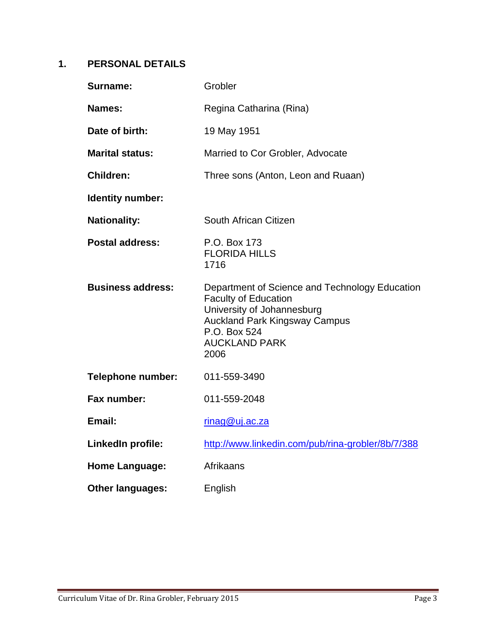# **1. PERSONAL DETAILS**

| <b>Surname:</b>          | Grobler                                                                                                                                                                                             |
|--------------------------|-----------------------------------------------------------------------------------------------------------------------------------------------------------------------------------------------------|
| <b>Names:</b>            | Regina Catharina (Rina)                                                                                                                                                                             |
| Date of birth:           | 19 May 1951                                                                                                                                                                                         |
| <b>Marital status:</b>   | Married to Cor Grobler, Advocate                                                                                                                                                                    |
| <b>Children:</b>         | Three sons (Anton, Leon and Ruaan)                                                                                                                                                                  |
| Identity number:         |                                                                                                                                                                                                     |
| <b>Nationality:</b>      | South African Citizen                                                                                                                                                                               |
| <b>Postal address:</b>   | P.O. Box 173<br><b>FLORIDA HILLS</b><br>1716                                                                                                                                                        |
| <b>Business address:</b> | Department of Science and Technology Education<br><b>Faculty of Education</b><br>University of Johannesburg<br><b>Auckland Park Kingsway Campus</b><br>P.O. Box 524<br><b>AUCKLAND PARK</b><br>2006 |
| <b>Telephone number:</b> | 011-559-3490                                                                                                                                                                                        |
| Fax number:              | 011-559-2048                                                                                                                                                                                        |
| Email:                   | rinag@uj.ac.za                                                                                                                                                                                      |
| LinkedIn profile:        | http://www.linkedin.com/pub/rina-grobler/8b/7/388                                                                                                                                                   |
| <b>Home Language:</b>    | Afrikaans                                                                                                                                                                                           |
| <b>Other languages:</b>  | English                                                                                                                                                                                             |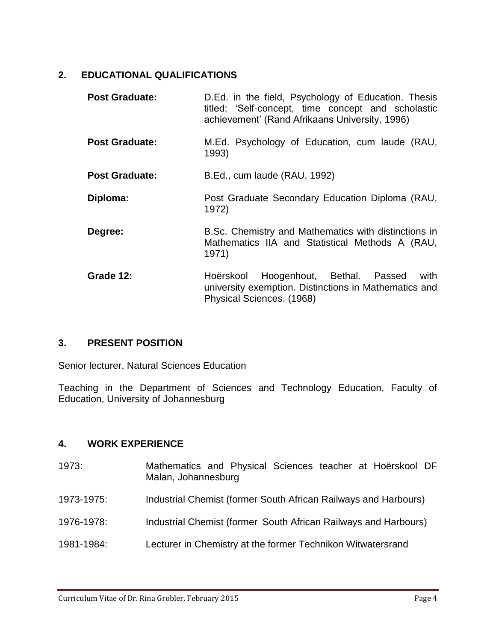## **2. EDUCATIONAL QUALIFICATIONS**

| <b>Post Graduate:</b> | D.Ed. in the field, Psychology of Education. Thesis<br>titled: 'Self-concept, time concept and scholastic<br>achievement' (Rand Afrikaans University, 1996) |
|-----------------------|-------------------------------------------------------------------------------------------------------------------------------------------------------------|
| <b>Post Graduate:</b> | M.Ed. Psychology of Education, cum laude (RAU,<br>1993)                                                                                                     |
| <b>Post Graduate:</b> | B.Ed., cum laude (RAU, 1992)                                                                                                                                |
| Diploma:              | Post Graduate Secondary Education Diploma (RAU,<br>1972)                                                                                                    |
| Degree:               | B.Sc. Chemistry and Mathematics with distinctions in<br>Mathematics IIA and Statistical Methods A (RAU,<br>1971)                                            |
| Grade 12:             | Hoogenhout, Bethal. Passed<br>with<br>Hoërskool<br>university exemption. Distinctions in Mathematics and<br>Physical Sciences. (1968)                       |

## **3. PRESENT POSITION**

Senior lecturer, Natural Sciences Education

Teaching in the Department of Sciences and Technology Education, Faculty of Education, University of Johannesburg

## **4. WORK EXPERIENCE**

- 1973: Mathematics and Physical Sciences teacher at Hoërskool DF Malan, Johannesburg 1973-1975: Industrial Chemist (former South African Railways and Harbours) 1976-1978: Industrial Chemist (former South African Railways and Harbours)
- 1981-1984: Lecturer in Chemistry at the former Technikon Witwatersrand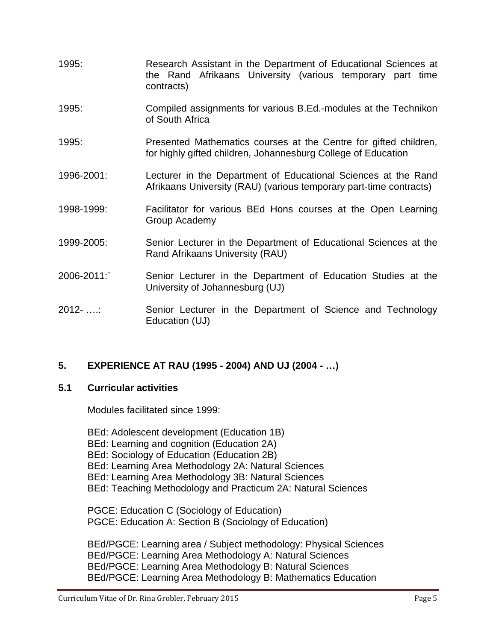- 1995: Research Assistant in the Department of Educational Sciences at the Rand Afrikaans University (various temporary part time contracts)
- 1995: Compiled assignments for various B.Ed.-modules at the Technikon of South Africa
- 1995: Presented Mathematics courses at the Centre for gifted children, for highly gifted children, Johannesburg College of Education
- 1996-2001: Lecturer in the Department of Educational Sciences at the Rand Afrikaans University (RAU) (various temporary part-time contracts)
- 1998-1999: Facilitator for various BEd Hons courses at the Open Learning Group Academy
- 1999-2005: Senior Lecturer in the Department of Educational Sciences at the Rand Afrikaans University (RAU)
- 2006-2011:` Senior Lecturer in the Department of Education Studies at the University of Johannesburg (UJ)
- 2012- ….: Senior Lecturer in the Department of Science and Technology Education (UJ)

## **5. EXPERIENCE AT RAU (1995 - 2004) AND UJ (2004 - …)**

#### **5.1 Curricular activities**

Modules facilitated since 1999:

BEd: Adolescent development (Education 1B) BEd: Learning and cognition (Education 2A) BEd: Sociology of Education (Education 2B) BEd: Learning Area Methodology 2A: Natural Sciences BEd: Learning Area Methodology 3B: Natural Sciences BEd: Teaching Methodology and Practicum 2A: Natural Sciences

PGCE: Education C (Sociology of Education) PGCE: Education A: Section B (Sociology of Education)

BEd/PGCE: Learning area / Subject methodology: Physical Sciences BEd/PGCE: Learning Area Methodology A: Natural Sciences BEd/PGCE: Learning Area Methodology B: Natural Sciences BEd/PGCE: Learning Area Methodology B: Mathematics Education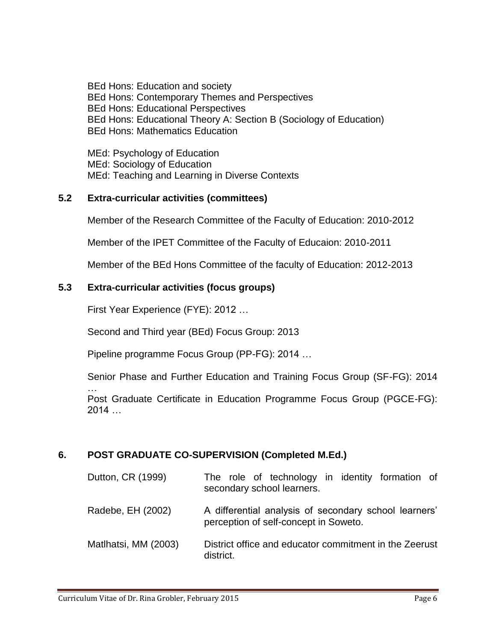BEd Hons: Education and society BEd Hons: Contemporary Themes and Perspectives BEd Hons: Educational Perspectives BEd Hons: Educational Theory A: Section B (Sociology of Education) BEd Hons: Mathematics Education

MEd: Psychology of Education MEd: Sociology of Education MEd: Teaching and Learning in Diverse Contexts

## **5.2 Extra-curricular activities (committees)**

Member of the Research Committee of the Faculty of Education: 2010-2012

Member of the IPET Committee of the Faculty of Educaion: 2010-2011

Member of the BEd Hons Committee of the faculty of Education: 2012-2013

## **5.3 Extra-curricular activities (focus groups)**

First Year Experience (FYE): 2012 …

Second and Third year (BEd) Focus Group: 2013

Pipeline programme Focus Group (PP-FG): 2014 …

Senior Phase and Further Education and Training Focus Group (SF-FG): 2014

… Post Graduate Certificate in Education Programme Focus Group (PGCE-FG): 2014 …

## **6. POST GRADUATE CO-SUPERVISION (Completed M.Ed.)**

| Dutton, CR (1999)    | The role of technology in identity formation of<br>secondary school learners.                  |
|----------------------|------------------------------------------------------------------------------------------------|
| Radebe, EH (2002)    | A differential analysis of secondary school learners'<br>perception of self-concept in Soweto. |
| Matlhatsi, MM (2003) | District office and educator commitment in the Zeerust<br>district.                            |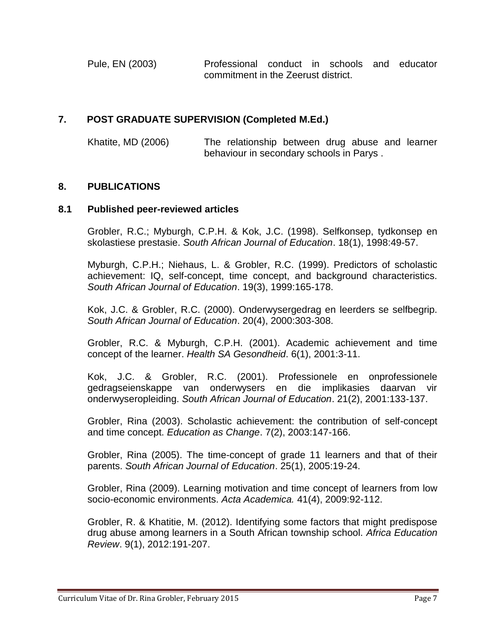Pule, EN (2003) Professional conduct in schools and educator commitment in the Zeerust district.

## **7. POST GRADUATE SUPERVISION (Completed M.Ed.)**

Khatite, MD (2006) The relationship between drug abuse and learner behaviour in secondary schools in Parys .

### **8. PUBLICATIONS**

### **8.1 Published peer-reviewed articles**

Grobler, R.C.; Myburgh, C.P.H. & Kok, J.C. (1998). Selfkonsep, tydkonsep en skolastiese prestasie. *South African Journal of Education*. 18(1), 1998:49-57.

Myburgh, C.P.H.; Niehaus, L. & Grobler, R.C. (1999). Predictors of scholastic achievement: IQ, self-concept, time concept, and background characteristics. *South African Journal of Education*. 19(3), 1999:165-178.

Kok, J.C. & Grobler, R.C. (2000). Onderwysergedrag en leerders se selfbegrip. *South African Journal of Education*. 20(4), 2000:303-308.

Grobler, R.C. & Myburgh, C.P.H. (2001). Academic achievement and time concept of the learner. *Health SA Gesondheid*. 6(1), 2001:3-11.

Kok, J.C. & Grobler, R.C. (2001). Professionele en onprofessionele gedragseienskappe van onderwysers en die implikasies daarvan vir onderwyseropleiding. *South African Journal of Education*. 21(2), 2001:133-137.

Grobler, Rina (2003). Scholastic achievement: the contribution of self-concept and time concept. *Education as Change*. 7(2), 2003:147-166.

Grobler, Rina (2005). The time-concept of grade 11 learners and that of their parents. *South African Journal of Education*. 25(1), 2005:19-24.

Grobler, Rina (2009). Learning motivation and time concept of learners from low socio-economic environments. *Acta Academica.* 41(4), 2009:92-112.

Grobler, R. & Khatitie, M. (2012). Identifying some factors that might predispose drug abuse among learners in a South African township school. *Africa Education Review*. 9(1), 2012:191-207.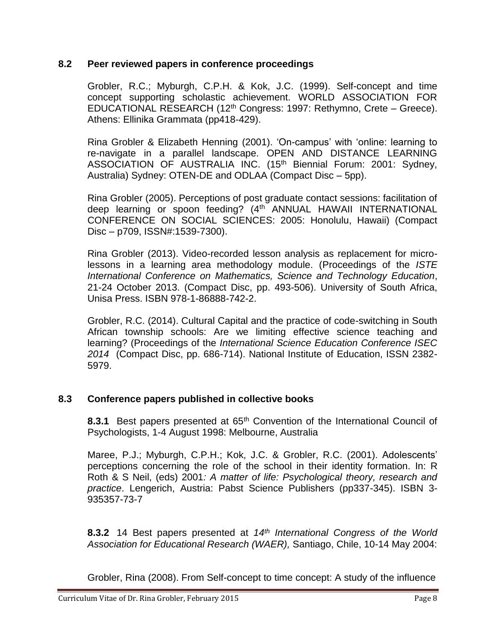### **8.2 Peer reviewed papers in conference proceedings**

Grobler, R.C.; Myburgh, C.P.H. & Kok, J.C. (1999). Self-concept and time concept supporting scholastic achievement. WORLD ASSOCIATION FOR EDUCATIONAL RESEARCH (12th Congress: 1997: Rethymno, Crete – Greece). Athens: Ellinika Grammata (pp418-429).

Rina Grobler & Elizabeth Henning (2001). 'On-campus' with 'online: learning to re-navigate in a parallel landscape. OPEN AND DISTANCE LEARNING ASSOCIATION OF AUSTRALIA INC. (15<sup>th</sup> Biennial Forum: 2001: Sydney, Australia) Sydney: OTEN-DE and ODLAA (Compact Disc – 5pp).

Rina Grobler (2005). Perceptions of post graduate contact sessions: facilitation of deep learning or spoon feeding? (4<sup>th</sup> ANNUAL HAWAII INTERNATIONAL CONFERENCE ON SOCIAL SCIENCES: 2005: Honolulu, Hawaii) (Compact Disc – p709, ISSN#:1539-7300).

Rina Grobler (2013). Video-recorded lesson analysis as replacement for microlessons in a learning area methodology module. (Proceedings of the *ISTE International Conference on Mathematics, Science and Technology Education*, 21-24 October 2013. (Compact Disc, pp. 493-506). University of South Africa, Unisa Press. ISBN 978-1-86888-742-2.

Grobler, R.C. (2014). Cultural Capital and the practice of code-switching in South African township schools: Are we limiting effective science teaching and learning? (Proceedings of the *International Science Education Conference ISEC 2014* (Compact Disc, pp. 686-714). National Institute of Education, ISSN 2382- 5979.

## **8.3 Conference papers published in collective books**

**8.3.1** Best papers presented at 65<sup>th</sup> Convention of the International Council of Psychologists, 1-4 August 1998: Melbourne, Australia

Maree, P.J.; Myburgh, C.P.H.; Kok, J.C. & Grobler, R.C. (2001). Adolescents' perceptions concerning the role of the school in their identity formation. In: R Roth & S Neil, (eds) 2001*: A matter of life: Psychological theory, research and practice*. Lengerich, Austria: Pabst Science Publishers (pp337-345). ISBN 3- 935357-73-7

**8.3.2** 14 Best papers presented at *14 th International Congress of the World Association for Educational Research (WAER),* Santiago, Chile, 10-14 May 2004:

Grobler, Rina (2008). From Self-concept to time concept: A study of the influence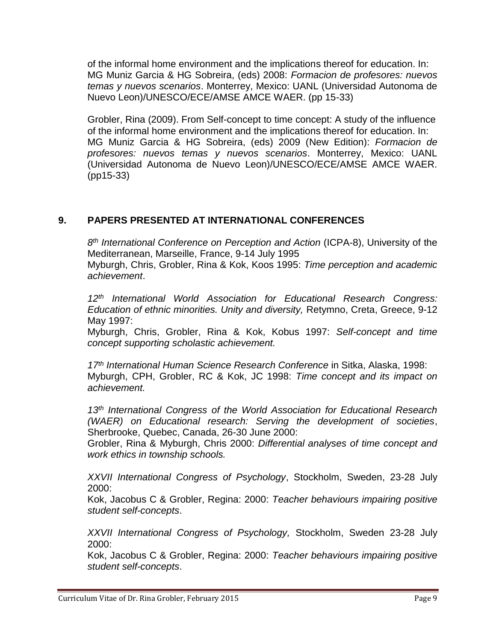of the informal home environment and the implications thereof for education. In: MG Muniz Garcia & HG Sobreira, (eds) 2008: *Formacion de profesores: nuevos temas y nuevos scenarios*. Monterrey, Mexico: UANL (Universidad Autonoma de Nuevo Leon)/UNESCO/ECE/AMSE AMCE WAER. (pp 15-33)

Grobler, Rina (2009). From Self-concept to time concept: A study of the influence of the informal home environment and the implications thereof for education. In: MG Muniz Garcia & HG Sobreira, (eds) 2009 (New Edition): *Formacion de profesores: nuevos temas y nuevos scenarios*. Monterrey, Mexico: UANL (Universidad Autonoma de Nuevo Leon)/UNESCO/ECE/AMSE AMCE WAER. (pp15-33)

## **9. PAPERS PRESENTED AT INTERNATIONAL CONFERENCES**

*8 th International Conference on Perception and Action* (ICPA-8), University of the Mediterranean, Marseille, France, 9-14 July 1995 Myburgh, Chris, Grobler, Rina & Kok, Koos 1995: *Time perception and academic achievement*.

*12th International World Association for Educational Research Congress: Education of ethnic minorities. Unity and diversity,* Retymno, Creta, Greece, 9-12 May 1997:

Myburgh, Chris, Grobler, Rina & Kok, Kobus 1997: *Self-concept and time concept supporting scholastic achievement.*

*17th International Human Science Research Conference* in Sitka, Alaska, 1998: Myburgh, CPH, Grobler, RC & Kok, JC 1998: *Time concept and its impact on achievement.*

*13th International Congress of the World Association for Educational Research (WAER) on Educational research: Serving the development of societies*, Sherbrooke, Quebec, Canada, 26-30 June 2000:

Grobler, Rina & Myburgh, Chris 2000: *Differential analyses of time concept and work ethics in township schools.*

*XXVII International Congress of Psychology*, Stockholm, Sweden, 23-28 July 2000:

Kok, Jacobus C & Grobler, Regina: 2000: *Teacher behaviours impairing positive student self-concepts*.

*XXVII International Congress of Psychology,* Stockholm, Sweden 23-28 July 2000:

Kok, Jacobus C & Grobler, Regina: 2000: *Teacher behaviours impairing positive student self-concepts*.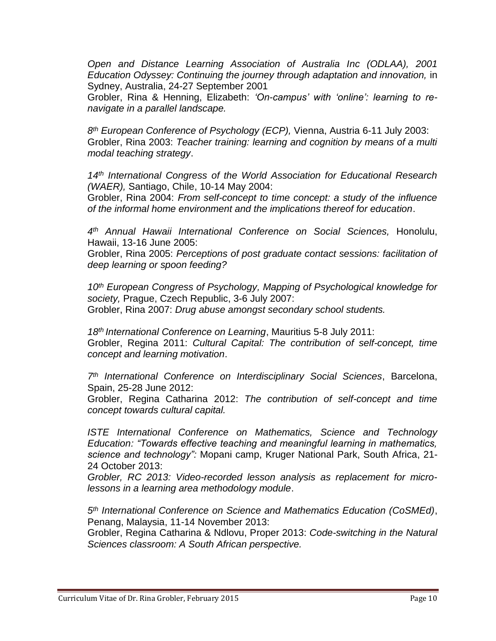*Open and Distance Learning Association of Australia Inc (ODLAA), 2001 Education Odyssey: Continuing the journey through adaptation and innovation,* in Sydney, Australia, 24-27 September 2001

Grobler, Rina & Henning, Elizabeth: *'On-campus' with 'online': learning to renavigate in a parallel landscape.*

*8 th European Conference of Psychology (ECP),* Vienna, Austria 6-11 July 2003: Grobler, Rina 2003: *Teacher training: learning and cognition by means of a multi modal teaching strategy*.

*14th International Congress of the World Association for Educational Research (WAER),* Santiago, Chile, 10-14 May 2004:

Grobler, Rina 2004: *From self-concept to time concept: a study of the influence of the informal home environment and the implications thereof for education*.

*4 th Annual Hawaii International Conference on Social Sciences,* Honolulu, Hawaii, 13-16 June 2005:

Grobler, Rina 2005: *Perceptions of post graduate contact sessions: facilitation of deep learning or spoon feeding?*

*10th European Congress of Psychology, Mapping of Psychological knowledge for society,* Prague, Czech Republic, 3-6 July 2007: Grobler, Rina 2007: *Drug abuse amongst secondary school students.*

*18th International Conference on Learning*, Mauritius 5-8 July 2011: Grobler, Regina 2011: *Cultural Capital: The contribution of self-concept, time concept and learning motivation*.

*7 th International Conference on Interdisciplinary Social Sciences*, Barcelona, Spain, 25-28 June 2012:

Grobler, Regina Catharina 2012: *The contribution of self-concept and time concept towards cultural capital.*

*ISTE International Conference on Mathematics, Science and Technology Education: "Towards effective teaching and meaningful learning in mathematics, science and technology":* Mopani camp, Kruger National Park, South Africa, 21- 24 October 2013:

*Grobler, RC 2013: Video-recorded lesson analysis as replacement for microlessons in a learning area methodology module*.

*5 th International Conference on Science and Mathematics Education (CoSMEd)*, Penang, Malaysia, 11-14 November 2013:

Grobler, Regina Catharina & Ndlovu, Proper 2013: *Code-switching in the Natural Sciences classroom: A South African perspective.*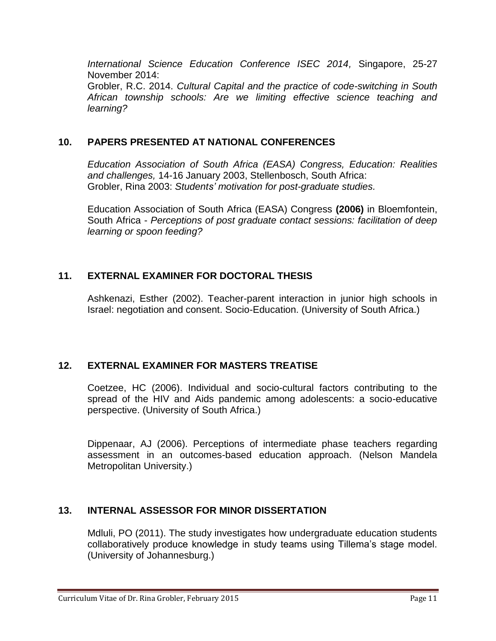*International Science Education Conference ISEC 2014,* Singapore, 25-27 November 2014: Grobler, R.C. 2014. *Cultural Capital and the practice of code-switching in South African township schools: Are we limiting effective science teaching and learning?*

## **10. PAPERS PRESENTED AT NATIONAL CONFERENCES**

*Education Association of South Africa (EASA) Congress, Education: Realities and challenges,* 14-16 January 2003, Stellenbosch, South Africa: Grobler, Rina 2003: *Students' motivation for post-graduate studies.*

Education Association of South Africa (EASA) Congress **(2006)** in Bloemfontein, South Africa - *Perceptions of post graduate contact sessions: facilitation of deep learning or spoon feeding?*

## **11. EXTERNAL EXAMINER FOR DOCTORAL THESIS**

Ashkenazi, Esther (2002). Teacher-parent interaction in junior high schools in Israel: negotiation and consent. Socio-Education. (University of South Africa.)

## **12. EXTERNAL EXAMINER FOR MASTERS TREATISE**

Coetzee, HC (2006). Individual and socio-cultural factors contributing to the spread of the HIV and Aids pandemic among adolescents: a socio-educative perspective. (University of South Africa.)

Dippenaar, AJ (2006). Perceptions of intermediate phase teachers regarding assessment in an outcomes-based education approach. (Nelson Mandela Metropolitan University.)

# **13. INTERNAL ASSESSOR FOR MINOR DISSERTATION**

Mdluli, PO (2011). The study investigates how undergraduate education students collaboratively produce knowledge in study teams using Tillema's stage model. (University of Johannesburg.)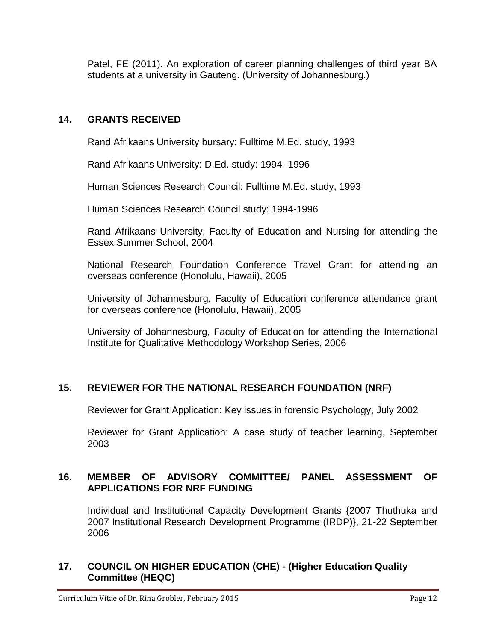Patel, FE (2011). An exploration of career planning challenges of third year BA students at a university in Gauteng. (University of Johannesburg.)

## **14. GRANTS RECEIVED**

Rand Afrikaans University bursary: Fulltime M.Ed. study, 1993

Rand Afrikaans University: D.Ed. study: 1994- 1996

Human Sciences Research Council: Fulltime M.Ed. study, 1993

Human Sciences Research Council study: 1994-1996

Rand Afrikaans University, Faculty of Education and Nursing for attending the Essex Summer School, 2004

National Research Foundation Conference Travel Grant for attending an overseas conference (Honolulu, Hawaii), 2005

University of Johannesburg, Faculty of Education conference attendance grant for overseas conference (Honolulu, Hawaii), 2005

University of Johannesburg, Faculty of Education for attending the International Institute for Qualitative Methodology Workshop Series, 2006

## **15. REVIEWER FOR THE NATIONAL RESEARCH FOUNDATION (NRF)**

Reviewer for Grant Application: Key issues in forensic Psychology, July 2002

Reviewer for Grant Application: A case study of teacher learning, September 2003

### **16. MEMBER OF ADVISORY COMMITTEE/ PANEL ASSESSMENT OF APPLICATIONS FOR NRF FUNDING**

Individual and Institutional Capacity Development Grants {2007 Thuthuka and 2007 Institutional Research Development Programme (IRDP)}, 21-22 September 2006

### **17. COUNCIL ON HIGHER EDUCATION (CHE) - (Higher Education Quality Committee (HEQC)**